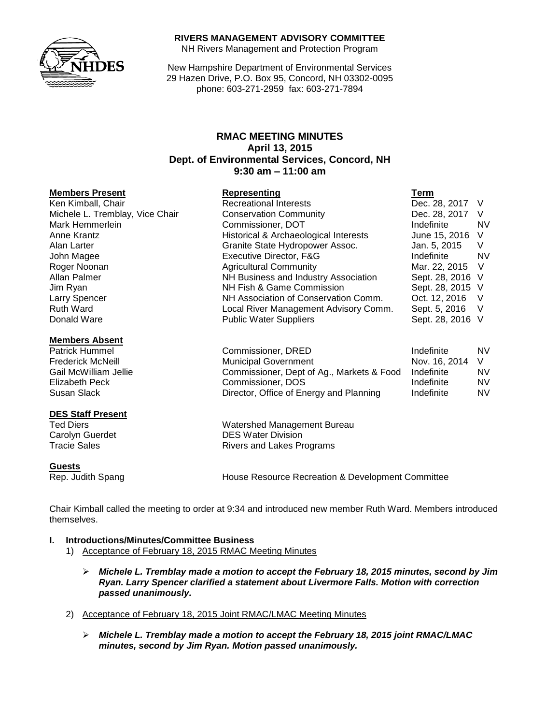### **RIVERS MANAGEMENT ADVISORY COMMITTEE**

NH Rivers Management and Protection Program

New Hampshire Department of Environmental Services 29 Hazen Drive, P.O. Box 95, Concord, NH 03302-0095 phone: 603-271-2959 fax: 603-271-7894

## **RMAC MEETING MINUTES April 13, 2015 Dept. of Environmental Services, Concord, NH 9:30 am – 11:00 am**

#### **Members Present Representing Term**

Ken Kimball, Chair Recreational Interests Dec. 28, 2017 V Michele L. Tremblay, Vice Chair Conservation Community Conserversity Dec. 28, 2017 V Mark Hemmerlein **National Commissioner, DOT** Mark Hemmerlein **NV** NV Anne Krantz **Historical & Archaeological Interests** June 15, 2016 V Alan Larter **Granite State Hydropower Assoc.** Jan. 5, 2015 V John Magee Executive Director, F&G Indefinite NV Roger Noonan Agricultural Community Mar. 22, 2015 V Jim Ryan NH Fish & Game Commission Sept. 28, 2015 V Larry Spencer **NH Association of Conservation Comm.** Oct. 12, 2016 V<br>Ruth Ward **Number Comment Comment Advisory Comm.** Sept. 5, 2016 V Donald Ware **Network** Public Water Suppliers Network Sept. 28, 2016 V

#### **Members Absent**

#### **DES Staff Present**

#### **Guests**

Patrick Hummel **No. 2018** Commissioner, DRED **Indefinite** NV Frederick McNeill **Municipal Government** Nov. 16, 2014 V Gail McWilliam Jellie Commissioner, Dept of Ag., Markets & Food Indefinite NV Elizabeth Peck **Commissioner, DOS** Indefinite MV<br>
Susan Slack Commissioner, Office of Energy and Planning Indefinite MV Director, Office of Energy and Planning Indefinite NV

Local River Management Advisory Comm. Sept. 5, 2016 V

Ted Diers Watershed Management Bureau Carolyn Guerdet **DES** Water Division Tracie Sales **Rivers** and Lakes Programs

NH Business and Industry Association

Rep. Judith Spang House Resource Recreation & Development Committee

Chair Kimball called the meeting to order at 9:34 and introduced new member Ruth Ward. Members introduced themselves.

# **I. Introductions/Minutes/Committee Business**

- 1) Acceptance of February 18, 2015 RMAC Meeting Minutes
	- *Michele L. Tremblay made a motion to accept the February 18, 2015 minutes, second by Jim Ryan. Larry Spencer clarified a statement about Livermore Falls. Motion with correction passed unanimously.*
- 2) Acceptance of February 18, 2015 Joint RMAC/LMAC Meeting Minutes
	- *Michele L. Tremblay made a motion to accept the February 18, 2015 joint RMAC/LMAC minutes, second by Jim Ryan. Motion passed unanimously.*

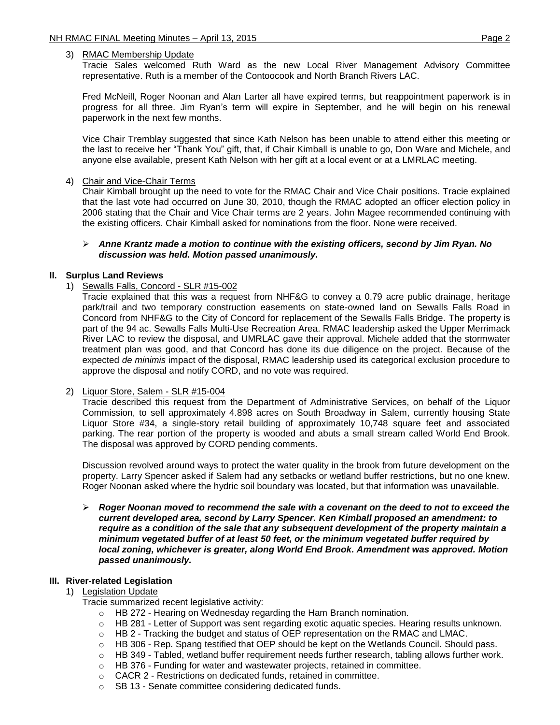### 3) RMAC Membership Update

Tracie Sales welcomed Ruth Ward as the new Local River Management Advisory Committee representative. Ruth is a member of the Contoocook and North Branch Rivers LAC.

Fred McNeill, Roger Noonan and Alan Larter all have expired terms, but reappointment paperwork is in progress for all three. Jim Ryan's term will expire in September, and he will begin on his renewal paperwork in the next few months.

Vice Chair Tremblay suggested that since Kath Nelson has been unable to attend either this meeting or the last to receive her "Thank You" gift, that, if Chair Kimball is unable to go, Don Ware and Michele, and anyone else available, present Kath Nelson with her gift at a local event or at a LMRLAC meeting.

### 4) Chair and Vice-Chair Terms

Chair Kimball brought up the need to vote for the RMAC Chair and Vice Chair positions. Tracie explained that the last vote had occurred on June 30, 2010, though the RMAC adopted an officer election policy in 2006 stating that the Chair and Vice Chair terms are 2 years. John Magee recommended continuing with the existing officers. Chair Kimball asked for nominations from the floor. None were received.

### *Anne Krantz made a motion to continue with the existing officers, second by Jim Ryan. No discussion was held. Motion passed unanimously.*

### **II. Surplus Land Reviews**

1) Sewalls Falls, Concord - SLR #15-002

Tracie explained that this was a request from NHF&G to convey a 0.79 acre public drainage, heritage park/trail and two temporary construction easements on state-owned land on Sewalls Falls Road in Concord from NHF&G to the City of Concord for replacement of the Sewalls Falls Bridge. The property is part of the 94 ac. Sewalls Falls Multi-Use Recreation Area. RMAC leadership asked the Upper Merrimack River LAC to review the disposal, and UMRLAC gave their approval. Michele added that the stormwater treatment plan was good, and that Concord has done its due diligence on the project. Because of the expected *de minimis* impact of the disposal, RMAC leadership used its categorical exclusion procedure to approve the disposal and notify CORD, and no vote was required.

#### 2) Liquor Store, Salem - SLR #15-004

Tracie described this request from the Department of Administrative Services, on behalf of the Liquor Commission, to sell approximately 4.898 acres on South Broadway in Salem, currently housing State Liquor Store #34, a single-story retail building of approximately 10,748 square feet and associated parking. The rear portion of the property is wooded and abuts a small stream called World End Brook. The disposal was approved by CORD pending comments.

Discussion revolved around ways to protect the water quality in the brook from future development on the property. Larry Spencer asked if Salem had any setbacks or wetland buffer restrictions, but no one knew. Roger Noonan asked where the hydric soil boundary was located, but that information was unavailable.

 *Roger Noonan moved to recommend the sale with a covenant on the deed to not to exceed the current developed area, second by Larry Spencer. Ken Kimball proposed an amendment: to require as a condition of the sale that any subsequent development of the property maintain a minimum vegetated buffer of at least 50 feet, or the minimum vegetated buffer required by local zoning, whichever is greater, along World End Brook. Amendment was approved. Motion passed unanimously.*

### **III. River-related Legislation**

#### 1) Legislation Update

Tracie summarized recent legislative activity:

- o HB 272 Hearing on Wednesday regarding the Ham Branch nomination.
- $\circ$  HB 281 Letter of Support was sent regarding exotic aquatic species. Hearing results unknown.
- $\circ$  HB 2 Tracking the budget and status of OEP representation on the RMAC and LMAC.
- o HB 306 Rep. Spang testified that OEP should be kept on the Wetlands Council. Should pass.
- $\circ$  HB 349 Tabled, wetland buffer requirement needs further research, tabling allows further work.
- $\circ$  HB 376 Funding for water and wastewater projects, retained in committee.
- o CACR 2 Restrictions on dedicated funds, retained in committee.
- o SB 13 Senate committee considering dedicated funds.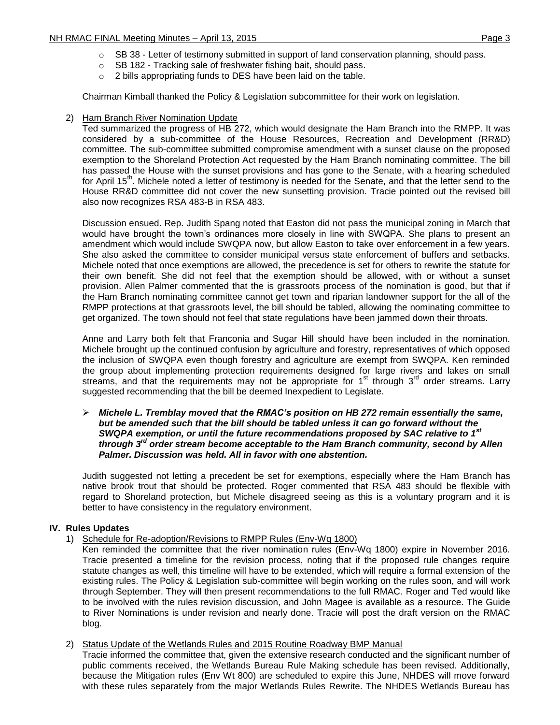- $\circ$  SB 38 Letter of testimony submitted in support of land conservation planning, should pass.
- o SB 182 Tracking sale of freshwater fishing bait, should pass.
- o 2 bills appropriating funds to DES have been laid on the table.

Chairman Kimball thanked the Policy & Legislation subcommittee for their work on legislation.

2) Ham Branch River Nomination Update

Ted summarized the progress of HB 272, which would designate the Ham Branch into the RMPP. It was considered by a sub-committee of the House Resources, Recreation and Development (RR&D) committee. The sub-committee submitted compromise amendment with a sunset clause on the proposed exemption to the Shoreland Protection Act requested by the Ham Branch nominating committee. The bill has passed the House with the sunset provisions and has gone to the Senate, with a hearing scheduled for April 15<sup>th</sup>. Michele noted a letter of testimony is needed for the Senate, and that the letter send to the House RR&D committee did not cover the new sunsetting provision. Tracie pointed out the revised bill also now recognizes RSA 483-B in RSA 483.

Discussion ensued. Rep. Judith Spang noted that Easton did not pass the municipal zoning in March that would have brought the town's ordinances more closely in line with SWQPA. She plans to present an amendment which would include SWQPA now, but allow Easton to take over enforcement in a few years. She also asked the committee to consider municipal versus state enforcement of buffers and setbacks. Michele noted that once exemptions are allowed, the precedence is set for others to rewrite the statute for their own benefit. She did not feel that the exemption should be allowed, with or without a sunset provision. Allen Palmer commented that the is grassroots process of the nomination is good, but that if the Ham Branch nominating committee cannot get town and riparian landowner support for the all of the RMPP protections at that grassroots level, the bill should be tabled, allowing the nominating committee to get organized. The town should not feel that state regulations have been jammed down their throats.

Anne and Larry both felt that Franconia and Sugar Hill should have been included in the nomination. Michele brought up the continued confusion by agriculture and forestry, representatives of which opposed the inclusion of SWQPA even though forestry and agriculture are exempt from SWQPA. Ken reminded the group about implementing protection requirements designed for large rivers and lakes on small streams, and that the requirements may not be appropriate for  $1<sup>st</sup>$  through  $3<sup>rd</sup>$  order streams. Larry suggested recommending that the bill be deemed Inexpedient to Legislate.

 *Michele L. Tremblay moved that the RMAC's position on HB 272 remain essentially the same, but be amended such that the bill should be tabled unless it can go forward without the SWQPA exemption, or until the future recommendations proposed by SAC relative to 1st through 3rd order stream become acceptable to the Ham Branch community, second by Allen Palmer. Discussion was held. All in favor with one abstention.*

Judith suggested not letting a precedent be set for exemptions, especially where the Ham Branch has native brook trout that should be protected. Roger commented that RSA 483 should be flexible with regard to Shoreland protection, but Michele disagreed seeing as this is a voluntary program and it is better to have consistency in the regulatory environment.

## **IV. Rules Updates**

1) Schedule for Re-adoption/Revisions to RMPP Rules (Env-Wq 1800)

Ken reminded the committee that the river nomination rules (Env-Wq 1800) expire in November 2016. Tracie presented a timeline for the revision process, noting that if the proposed rule changes require statute changes as well, this timeline will have to be extended, which will require a formal extension of the existing rules. The Policy & Legislation sub-committee will begin working on the rules soon, and will work through September. They will then present recommendations to the full RMAC. Roger and Ted would like to be involved with the rules revision discussion, and John Magee is available as a resource. The Guide to River Nominations is under revision and nearly done. Tracie will post the draft version on the RMAC blog.

## 2) Status Update of the Wetlands Rules and 2015 Routine Roadway BMP Manual

Tracie informed the committee that, given the extensive research conducted and the significant number of public comments received, the Wetlands Bureau Rule Making schedule has been revised. Additionally, because the Mitigation rules (Env Wt 800) are scheduled to expire this June, NHDES will move forward with these rules separately from the major Wetlands Rules Rewrite. The NHDES Wetlands Bureau has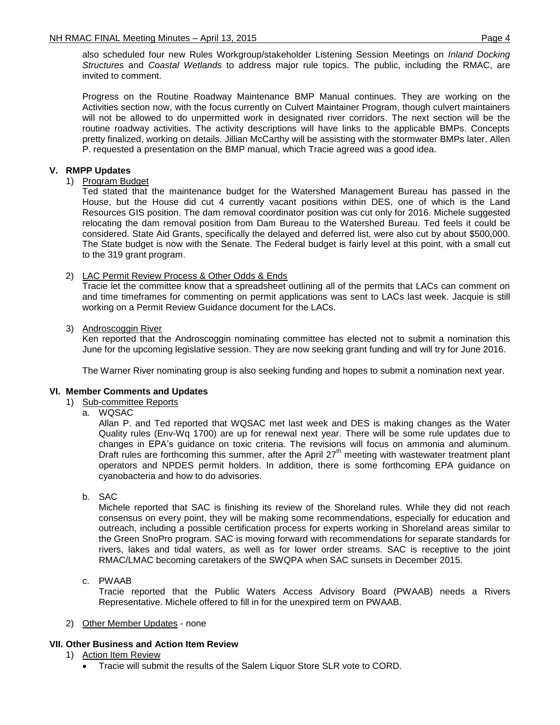also scheduled four new Rules Workgroup/stakeholder Listening Session Meetings on *Inland Docking Structures* and *Coastal Wetlands* to address major rule topics. The public, including the RMAC, are invited to comment.

Progress on the Routine Roadway Maintenance BMP Manual continues. They are working on the Activities section now, with the focus currently on Culvert Maintainer Program, though culvert maintainers will not be allowed to do unpermitted work in designated river corridors. The next section will be the routine roadway activities. The activity descriptions will have links to the applicable BMPs. Concepts pretty finalized, working on details. Jillian McCarthy will be assisting with the stormwater BMPs later. Allen P. requested a presentation on the BMP manual, which Tracie agreed was a good idea.

## **V. RMPP Updates**

### 1) Program Budget

Ted stated that the maintenance budget for the Watershed Management Bureau has passed in the House, but the House did cut 4 currently vacant positions within DES, one of which is the Land Resources GIS position. The dam removal coordinator position was cut only for 2016. Michele suggested relocating the dam removal position from Dam Bureau to the Watershed Bureau. Ted feels it could be considered. State Aid Grants, specifically the delayed and deferred list, were also cut by about \$500,000. The State budget is now with the Senate. The Federal budget is fairly level at this point, with a small cut to the 319 grant program.

### 2) LAC Permit Review Process & Other Odds & Ends

Tracie let the committee know that a spreadsheet outlining all of the permits that LACs can comment on and time timeframes for commenting on permit applications was sent to LACs last week. Jacquie is still working on a Permit Review Guidance document for the LACs.

### 3) Androscoggin River

Ken reported that the Androscoggin nominating committee has elected not to submit a nomination this June for the upcoming legislative session. They are now seeking grant funding and will try for June 2016.

The Warner River nominating group is also seeking funding and hopes to submit a nomination next year.

### **VI. Member Comments and Updates**

- 1) Sub-committee Reports
	- a. WQSAC

Allan P. and Ted reported that WQSAC met last week and DES is making changes as the Water Quality rules (Env-Wq 1700) are up for renewal next year. There will be some rule updates due to changes in EPA's guidance on toxic criteria. The revisions will focus on ammonia and aluminum. Draft rules are forthcoming this summer, after the April 27<sup>th</sup> meeting with wastewater treatment plant operators and NPDES permit holders. In addition, there is some forthcoming EPA guidance on cyanobacteria and how to do advisories.

b. SAC

Michele reported that SAC is finishing its review of the Shoreland rules. While they did not reach consensus on every point, they will be making some recommendations, especially for education and outreach, including a possible certification process for experts working in Shoreland areas similar to the Green SnoPro program. SAC is moving forward with recommendations for separate standards for rivers, lakes and tidal waters, as well as for lower order streams. SAC is receptive to the joint RMAC/LMAC becoming caretakers of the SWQPA when SAC sunsets in December 2015.

## c. PWAAB

Tracie reported that the Public Waters Access Advisory Board (PWAAB) needs a Rivers Representative. Michele offered to fill in for the unexpired term on PWAAB.

#### 2) Other Member Updates - none

## **VII. Other Business and Action Item Review**

- 1) Action Item Review
	- Tracie will submit the results of the Salem Liquor Store SLR vote to CORD.